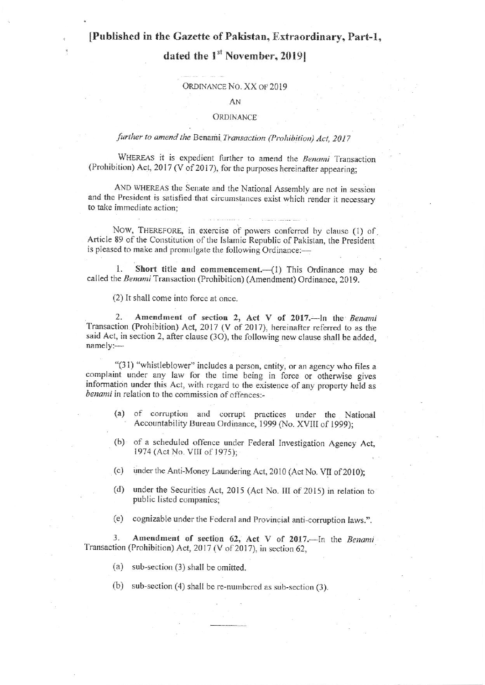## [Published in the Gazette of Pakistan, Extraordinary, Part-1,

# dated the 1<sup>st</sup> November, 20191

#### ORDINANCE NO. XX OF 2019

#### AN

#### **ORDINANCE**

### further to amend the Benami Transaction (Prohibition) Act, 2017

WHEREAS it is expedient further to amend the Benami Transaction (Prohibition) Act, 2017 (V of 2017), for the purposes hereinafter appearing;

AND WHEREAS the Senate and the National Assembly are not in session and the President is satisfied that circumstances exist which render it necessary to take immediate action;

NOW, THEREFORE, in exercise of powers conferred by clause (1) of Article 89 of the Constitution of the Islamic Republic of Pakistan, the President is pleased to make and promulgate the following Ordinance:-

Short title and commencement.- (1) This Ordinance may be 1. called the Benami Transaction (Prohibition) (Amendment) Ordinance, 2019.

(2) It shall come into force at once.

Amendment of section 2, Act V of 2017.-- In the Benami  $2.$ Transaction (Prohibition) Act, 2017 (V of 2017), hereinafter referred to as the said Act, in section 2, after clause (3O), the following new clause shall be added, namely:-

"(31) "whistleblower" includes a person, entity, or an agency who files a complaint under any law for the time being in force or otherwise gives information under this Act, with regard to the existence of any property held as benami in relation to the commission of offences:-

- (a) of corruption and corrupt practices under the National Accountability Bureau Ordinance, 1999 (No. XVIII of 1999);
- (b) of a scheduled offence under Federal Investigation Agency Act, 1974 (Act No. VIII of 1975);
- $(c)$ under the Anti-Money Laundering Act, 2010 (Act No. VII of 2010);
- under the Securities Act, 2015 (Act No. III of 2015) in relation to  $(d)$ public listed companies:
- cognizable under the Federal and Provincial anti-corruption laws.".  $(e)$

 $3<sub>1</sub>$ Amendment of section 62, Act V of 2017.-In the Benami Transaction (Prohibition) Act, 2017 (V of 2017), in section 62,

 $(a)$  sub-section  $(3)$  shall be omitted.

(b) sub-section (4) shall be re-numbered as sub-section (3).